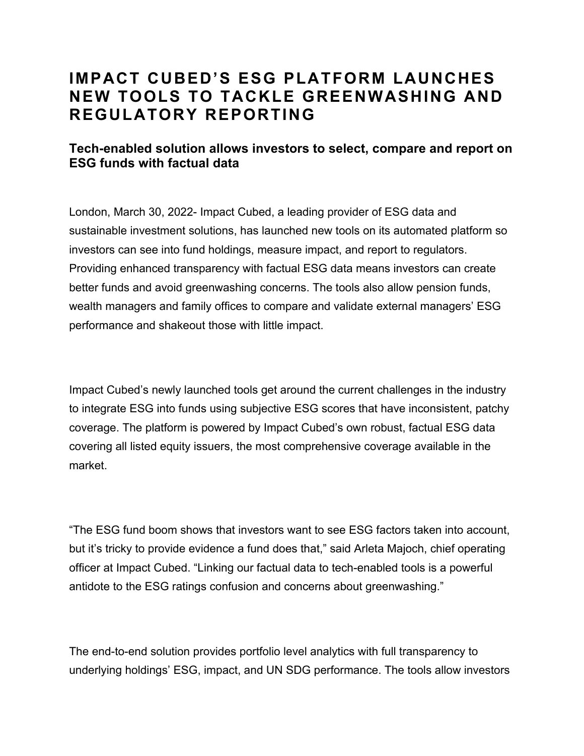## **IMPACT CUBED'S ESG PLATFORM LAUNCHES NEW TOOLS TO TACKLE GREENWASHING AND REGULATORY REPORTING**

## **Tech-enabled solution allows investors to select, compare and report on ESG funds with factual data**

London, March 30, 2022- Impact Cubed, a leading provider of ESG data and sustainable investment solutions, has launched new tools on its automated platform so investors can see into fund holdings, measure impact, and report to regulators. Providing enhanced transparency with factual ESG data means investors can create better funds and avoid greenwashing concerns. The tools also allow pension funds, wealth managers and family offices to compare and validate external managers' ESG performance and shakeout those with little impact.

Impact Cubed's newly launched tools get around the current challenges in the industry to integrate ESG into funds using subjective ESG scores that have inconsistent, patchy coverage. The platform is powered by Impact Cubed's own robust, factual ESG data covering all listed equity issuers, the most comprehensive coverage available in the market.

"The ESG fund boom shows that investors want to see ESG factors taken into account, but it's tricky to provide evidence a fund does that," said Arleta Majoch, chief operating officer at Impact Cubed. "Linking our factual data to tech-enabled tools is a powerful antidote to the ESG ratings confusion and concerns about greenwashing."

The end-to-end solution provides portfolio level analytics with full transparency to underlying holdings' ESG, impact, and UN SDG performance. The tools allow investors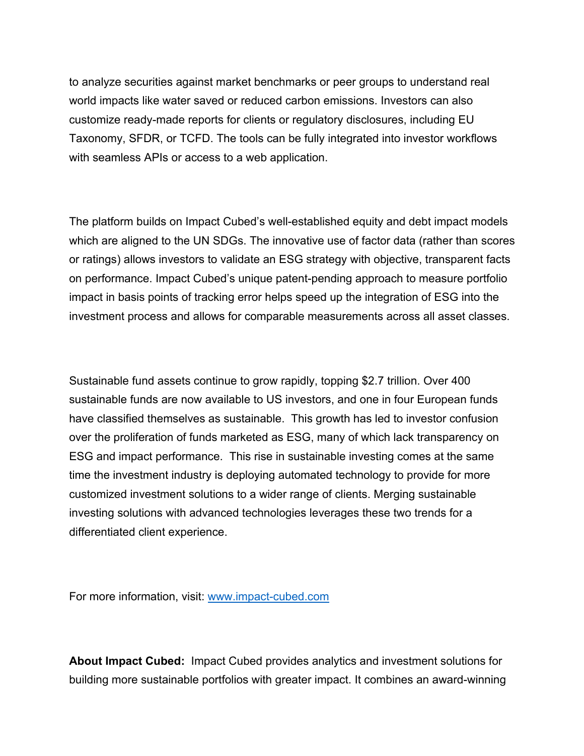to analyze securities against market benchmarks or peer groups to understand real world impacts like water saved or reduced carbon emissions. Investors can also customize ready-made reports for clients or regulatory disclosures, including EU Taxonomy, SFDR, or TCFD. The tools can be fully integrated into investor workflows with seamless APIs or access to a web application.

The platform builds on Impact Cubed's well-established equity and debt impact models which are aligned to the UN SDGs. The innovative use of factor data (rather than scores or ratings) allows investors to validate an ESG strategy with objective, transparent facts on performance. Impact Cubed's unique patent-pending approach to measure portfolio impact in basis points of tracking error helps speed up the integration of ESG into the investment process and allows for comparable measurements across all asset classes.

Sustainable fund assets continue to grow rapidly, topping \$2.7 trillion. Over 400 sustainable funds are now available to US investors, and one in four European funds have classified themselves as sustainable. This growth has led to investor confusion over the proliferation of funds marketed as ESG, many of which lack transparency on ESG and impact performance. This rise in sustainable investing comes at the same time the investment industry is deploying automated technology to provide for more customized investment solutions to a wider range of clients. Merging sustainable investing solutions with advanced technologies leverages these two trends for a differentiated client experience.

For more information, visit: www.impact-cubed.com

**About Impact Cubed:** Impact Cubed provides analytics and investment solutions for building more sustainable portfolios with greater impact. It combines an award-winning